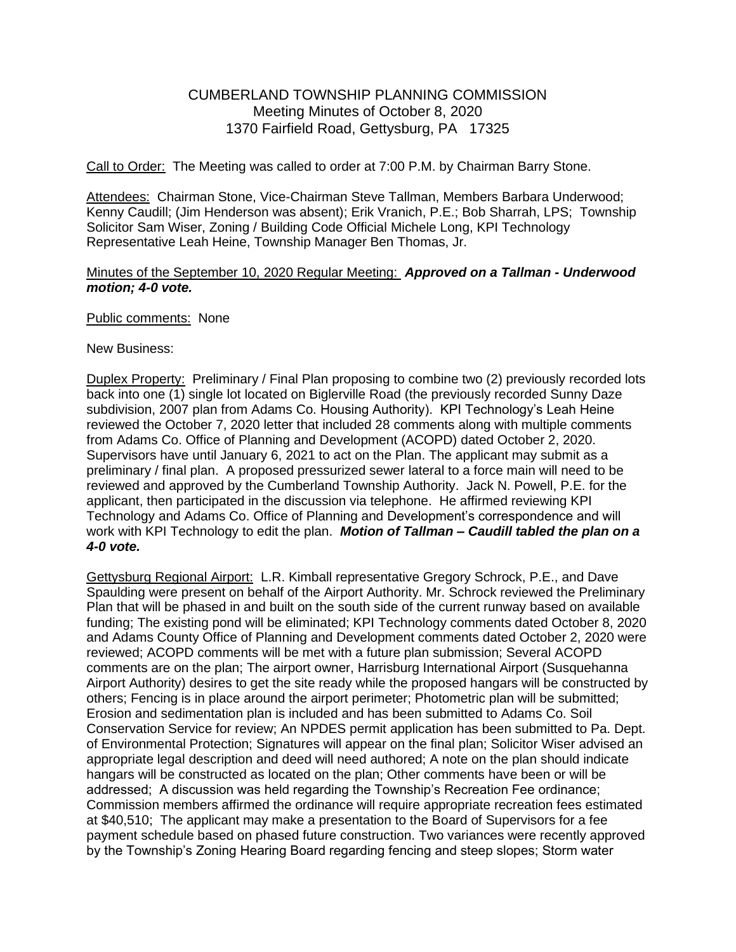# CUMBERLAND TOWNSHIP PLANNING COMMISSION Meeting Minutes of October 8, 2020 1370 Fairfield Road, Gettysburg, PA 17325

Call to Order: The Meeting was called to order at 7:00 P.M. by Chairman Barry Stone.

Attendees: Chairman Stone, Vice-Chairman Steve Tallman, Members Barbara Underwood: Kenny Caudill; (Jim Henderson was absent); Erik Vranich, P.E.; Bob Sharrah, LPS; Township Solicitor Sam Wiser, Zoning / Building Code Official Michele Long, KPI Technology Representative Leah Heine, Township Manager Ben Thomas, Jr.

#### Minutes of the September 10, 2020 Regular Meeting: *Approved on a Tallman - Underwood motion; 4-0 vote.*

#### Public comments: None

New Business:

Duplex Property: Preliminary / Final Plan proposing to combine two (2) previously recorded lots back into one (1) single lot located on Biglerville Road (the previously recorded Sunny Daze subdivision, 2007 plan from Adams Co. Housing Authority). KPI Technology's Leah Heine reviewed the October 7, 2020 letter that included 28 comments along with multiple comments from Adams Co. Office of Planning and Development (ACOPD) dated October 2, 2020. Supervisors have until January 6, 2021 to act on the Plan. The applicant may submit as a preliminary / final plan. A proposed pressurized sewer lateral to a force main will need to be reviewed and approved by the Cumberland Township Authority. Jack N. Powell, P.E. for the applicant, then participated in the discussion via telephone. He affirmed reviewing KPI Technology and Adams Co. Office of Planning and Development's correspondence and will work with KPI Technology to edit the plan. *Motion of Tallman – Caudill tabled the plan on a 4-0 vote.*

Gettysburg Regional Airport: L.R. Kimball representative Gregory Schrock, P.E., and Dave Spaulding were present on behalf of the Airport Authority. Mr. Schrock reviewed the Preliminary Plan that will be phased in and built on the south side of the current runway based on available funding; The existing pond will be eliminated; KPI Technology comments dated October 8, 2020 and Adams County Office of Planning and Development comments dated October 2, 2020 were reviewed; ACOPD comments will be met with a future plan submission; Several ACOPD comments are on the plan; The airport owner, Harrisburg International Airport (Susquehanna Airport Authority) desires to get the site ready while the proposed hangars will be constructed by others; Fencing is in place around the airport perimeter; Photometric plan will be submitted; Erosion and sedimentation plan is included and has been submitted to Adams Co. Soil Conservation Service for review; An NPDES permit application has been submitted to Pa. Dept. of Environmental Protection; Signatures will appear on the final plan; Solicitor Wiser advised an appropriate legal description and deed will need authored; A note on the plan should indicate hangars will be constructed as located on the plan; Other comments have been or will be addressed; A discussion was held regarding the Township's Recreation Fee ordinance; Commission members affirmed the ordinance will require appropriate recreation fees estimated at \$40,510; The applicant may make a presentation to the Board of Supervisors for a fee payment schedule based on phased future construction. Two variances were recently approved by the Township's Zoning Hearing Board regarding fencing and steep slopes; Storm water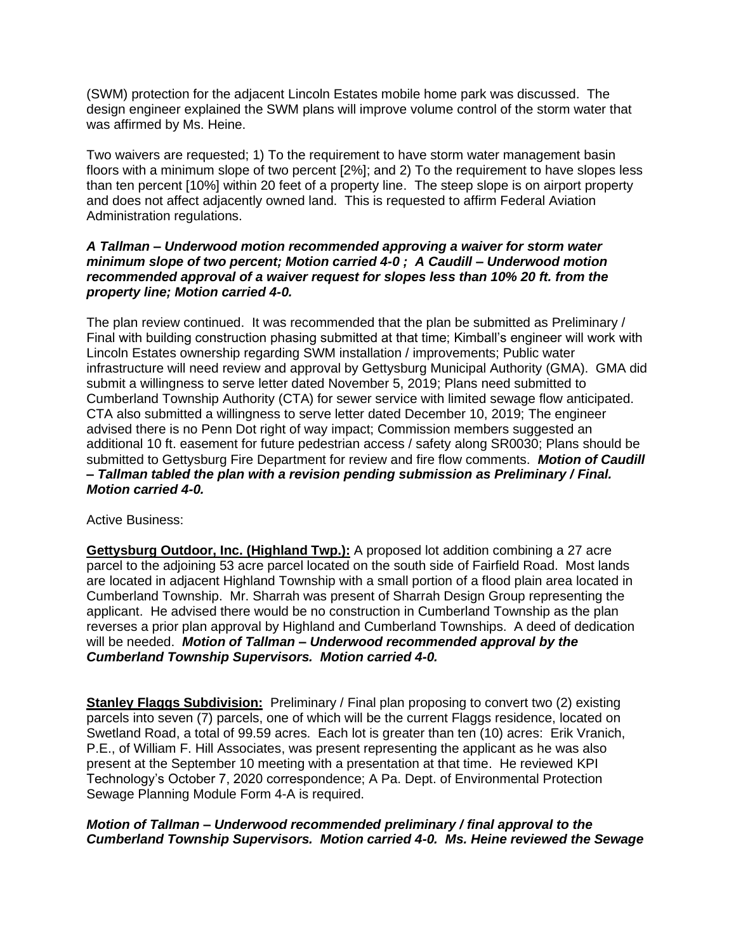(SWM) protection for the adjacent Lincoln Estates mobile home park was discussed. The design engineer explained the SWM plans will improve volume control of the storm water that was affirmed by Ms. Heine.

Two waivers are requested; 1) To the requirement to have storm water management basin floors with a minimum slope of two percent [2%]; and 2) To the requirement to have slopes less than ten percent [10%] within 20 feet of a property line. The steep slope is on airport property and does not affect adjacently owned land. This is requested to affirm Federal Aviation Administration regulations.

#### *A Tallman – Underwood motion recommended approving a waiver for storm water minimum slope of two percent; Motion carried 4-0 ; A Caudill – Underwood motion recommended approval of a waiver request for slopes less than 10% 20 ft. from the property line; Motion carried 4-0.*

The plan review continued. It was recommended that the plan be submitted as Preliminary / Final with building construction phasing submitted at that time; Kimball's engineer will work with Lincoln Estates ownership regarding SWM installation / improvements; Public water infrastructure will need review and approval by Gettysburg Municipal Authority (GMA). GMA did submit a willingness to serve letter dated November 5, 2019; Plans need submitted to Cumberland Township Authority (CTA) for sewer service with limited sewage flow anticipated. CTA also submitted a willingness to serve letter dated December 10, 2019; The engineer advised there is no Penn Dot right of way impact; Commission members suggested an additional 10 ft. easement for future pedestrian access / safety along SR0030; Plans should be submitted to Gettysburg Fire Department for review and fire flow comments. *Motion of Caudill – Tallman tabled the plan with a revision pending submission as Preliminary / Final. Motion carried 4-0.*

Active Business:

**Gettysburg Outdoor, Inc. (Highland Twp.):** A proposed lot addition combining a 27 acre parcel to the adjoining 53 acre parcel located on the south side of Fairfield Road. Most lands are located in adjacent Highland Township with a small portion of a flood plain area located in Cumberland Township. Mr. Sharrah was present of Sharrah Design Group representing the applicant. He advised there would be no construction in Cumberland Township as the plan reverses a prior plan approval by Highland and Cumberland Townships. A deed of dedication will be needed. *Motion of Tallman – Underwood recommended approval by the Cumberland Township Supervisors. Motion carried 4-0.* 

**Stanley Flaggs Subdivision:** Preliminary / Final plan proposing to convert two (2) existing parcels into seven (7) parcels, one of which will be the current Flaggs residence, located on Swetland Road, a total of 99.59 acres. Each lot is greater than ten (10) acres: Erik Vranich, P.E., of William F. Hill Associates, was present representing the applicant as he was also present at the September 10 meeting with a presentation at that time. He reviewed KPI Technology's October 7, 2020 correspondence; A Pa. Dept. of Environmental Protection Sewage Planning Module Form 4-A is required.

# *Motion of Tallman – Underwood recommended preliminary / final approval to the Cumberland Township Supervisors. Motion carried 4-0. Ms. Heine reviewed the Sewage*